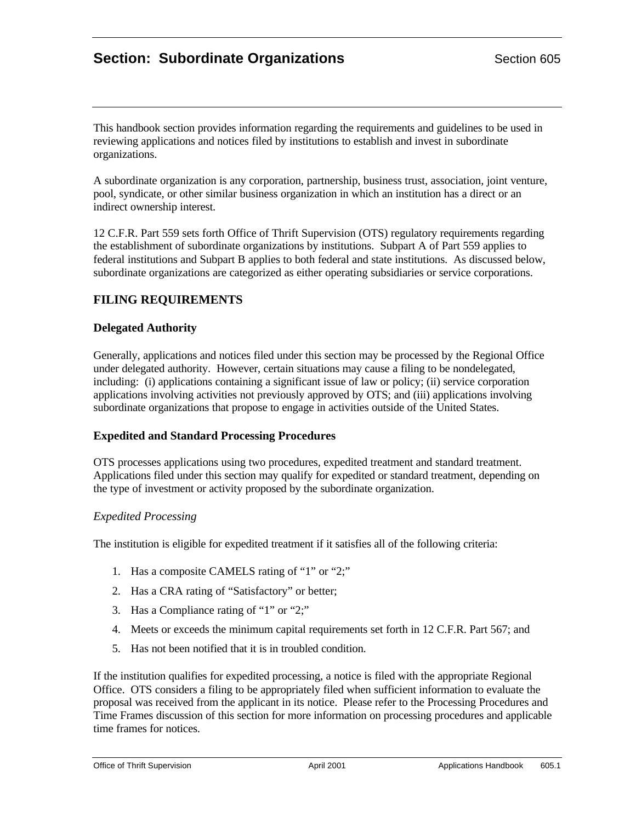# **Section: Subordinate Organizations** Section 605

This handbook section provides information regarding the requirements and guidelines to be used in reviewing applications and notices filed by institutions to establish and invest in subordinate organizations.

A subordinate organization is any corporation, partnership, business trust, association, joint venture, pool, syndicate, or other similar business organization in which an institution has a direct or an indirect ownership interest.

12 C.F.R. Part 559 sets forth Office of Thrift Supervision (OTS) regulatory requirements regarding the establishment of subordinate organizations by institutions. Subpart A of Part 559 applies to federal institutions and Subpart B applies to both federal and state institutions. As discussed below, subordinate organizations are categorized as either operating subsidiaries or service corporations.

# **FILING REQUIREMENTS**

#### **Delegated Authority**

Generally, applications and notices filed under this section may be processed by the Regional Office under delegated authority. However, certain situations may cause a filing to be nondelegated, including: (i) applications containing a significant issue of law or policy; (ii) service corporation applications involving activities not previously approved by OTS; and (iii) applications involving subordinate organizations that propose to engage in activities outside of the United States.

## **Expedited and Standard Processing Procedures**

OTS processes applications using two procedures, expedited treatment and standard treatment. Applications filed under this section may qualify for expedited or standard treatment, depending on the type of investment or activity proposed by the subordinate organization.

## *Expedited Processing*

The institution is eligible for expedited treatment if it satisfies all of the following criteria:

- 1. Has a composite CAMELS rating of "1" or "2;"
- 2. Has a CRA rating of "Satisfactory" or better;
- 3. Has a Compliance rating of "1" or "2;"
- 4. Meets or exceeds the minimum capital requirements set forth in 12 C.F.R. Part 567; and
- 5. Has not been notified that it is in troubled condition.

If the institution qualifies for expedited processing, a notice is filed with the appropriate Regional Office. OTS considers a filing to be appropriately filed when sufficient information to evaluate the proposal was received from the applicant in its notice. Please refer to the Processing Procedures and Time Frames discussion of this section for more information on processing procedures and applicable time frames for notices.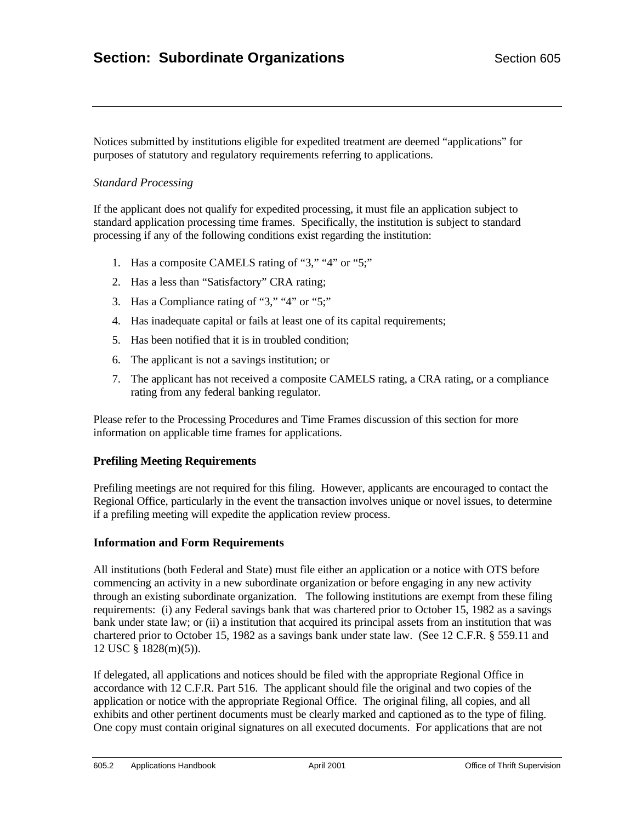Notices submitted by institutions eligible for expedited treatment are deemed "applications" for purposes of statutory and regulatory requirements referring to applications.

# *Standard Processing*

If the applicant does not qualify for expedited processing, it must file an application subject to standard application processing time frames. Specifically, the institution is subject to standard processing if any of the following conditions exist regarding the institution:

- 1. Has a composite CAMELS rating of "3," "4" or "5;"
- 2. Has a less than "Satisfactory" CRA rating;
- 3. Has a Compliance rating of "3," "4" or "5;"
- 4. Has inadequate capital or fails at least one of its capital requirements;
- 5. Has been notified that it is in troubled condition;
- 6. The applicant is not a savings institution; or
- 7. The applicant has not received a composite CAMELS rating, a CRA rating, or a compliance rating from any federal banking regulator.

Please refer to the Processing Procedures and Time Frames discussion of this section for more information on applicable time frames for applications.

## **Prefiling Meeting Requirements**

Prefiling meetings are not required for this filing. However, applicants are encouraged to contact the Regional Office, particularly in the event the transaction involves unique or novel issues, to determine if a prefiling meeting will expedite the application review process.

## **Information and Form Requirements**

All institutions (both Federal and State) must file either an application or a notice with OTS before commencing an activity in a new subordinate organization or before engaging in any new activity through an existing subordinate organization. The following institutions are exempt from these filing requirements: (i) any Federal savings bank that was chartered prior to October 15, 1982 as a savings bank under state law; or (ii) a institution that acquired its principal assets from an institution that was chartered prior to October 15, 1982 as a savings bank under state law. (See 12 C.F.R. § 559.11 and 12 USC § 1828(m)(5)).

If delegated, all applications and notices should be filed with the appropriate Regional Office in accordance with 12 C.F.R. Part 516. The applicant should file the original and two copies of the application or notice with the appropriate Regional Office. The original filing, all copies, and all exhibits and other pertinent documents must be clearly marked and captioned as to the type of filing. One copy must contain original signatures on all executed documents. For applications that are not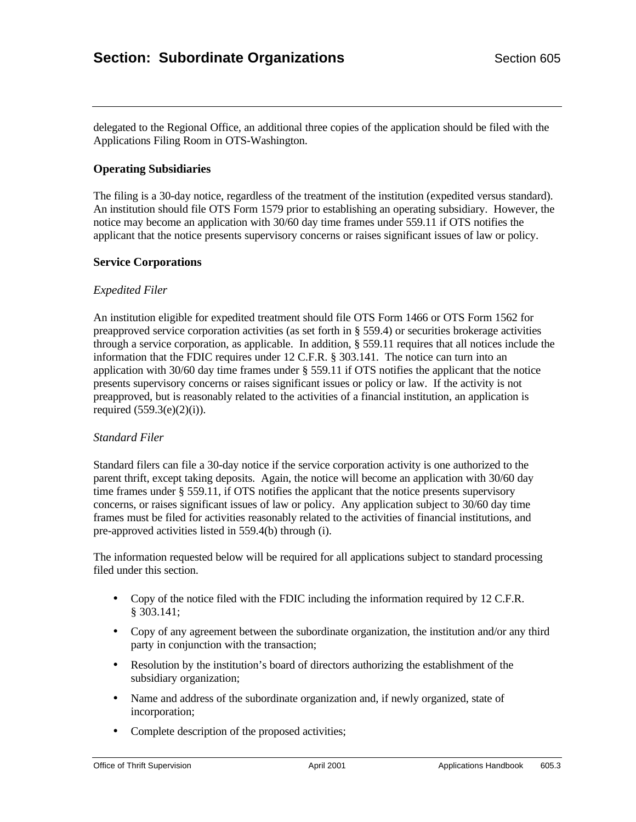delegated to the Regional Office, an additional three copies of the application should be filed with the Applications Filing Room in OTS-Washington.

## **Operating Subsidiaries**

The filing is a 30-day notice, regardless of the treatment of the institution (expedited versus standard). An institution should file OTS Form 1579 prior to establishing an operating subsidiary. However, the notice may become an application with 30/60 day time frames under 559.11 if OTS notifies the applicant that the notice presents supervisory concerns or raises significant issues of law or policy.

#### **Service Corporations**

#### *Expedited Filer*

An institution eligible for expedited treatment should file OTS Form 1466 or OTS Form 1562 for preapproved service corporation activities (as set forth in § 559.4) or securities brokerage activities through a service corporation, as applicable. In addition, § 559.11 requires that all notices include the information that the FDIC requires under 12 C.F.R. § 303.141. The notice can turn into an application with 30/60 day time frames under § 559.11 if OTS notifies the applicant that the notice presents supervisory concerns or raises significant issues or policy or law. If the activity is not preapproved, but is reasonably related to the activities of a financial institution, an application is required  $(559.3(e)(2)(i))$ .

#### *Standard Filer*

Standard filers can file a 30-day notice if the service corporation activity is one authorized to the parent thrift, except taking deposits. Again, the notice will become an application with 30/60 day time frames under § 559.11, if OTS notifies the applicant that the notice presents supervisory concerns, or raises significant issues of law or policy. Any application subject to 30/60 day time frames must be filed for activities reasonably related to the activities of financial institutions, and pre-approved activities listed in 559.4(b) through (i).

The information requested below will be required for all applications subject to standard processing filed under this section.

- Copy of the notice filed with the FDIC including the information required by 12 C.F.R. § 303.141;
- Copy of any agreement between the subordinate organization, the institution and/or any third party in conjunction with the transaction;
- Resolution by the institution's board of directors authorizing the establishment of the subsidiary organization;
- Name and address of the subordinate organization and, if newly organized, state of incorporation;
- Complete description of the proposed activities;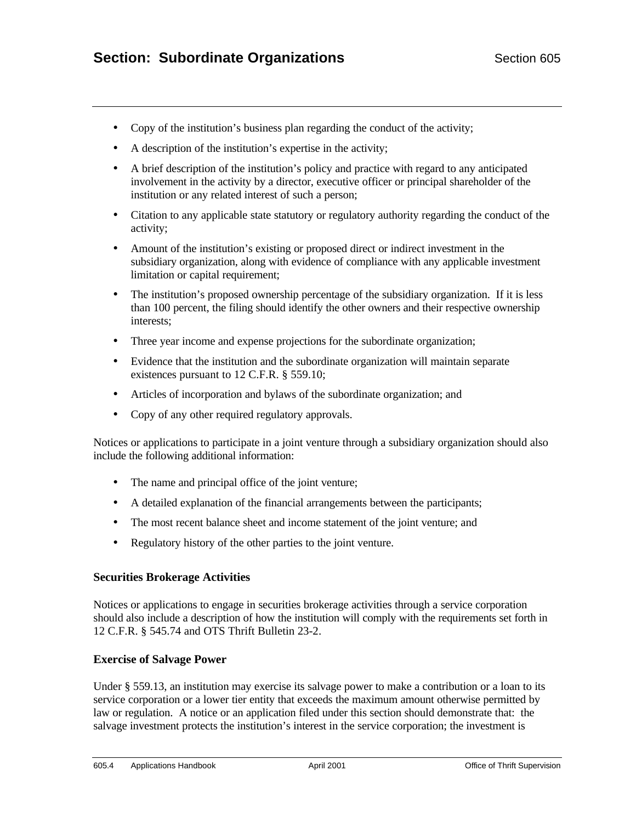- Copy of the institution's business plan regarding the conduct of the activity;
- A description of the institution's expertise in the activity;
- A brief description of the institution's policy and practice with regard to any anticipated involvement in the activity by a director, executive officer or principal shareholder of the institution or any related interest of such a person;
- Citation to any applicable state statutory or regulatory authority regarding the conduct of the activity;
- Amount of the institution's existing or proposed direct or indirect investment in the subsidiary organization, along with evidence of compliance with any applicable investment limitation or capital requirement;
- The institution's proposed ownership percentage of the subsidiary organization. If it is less than 100 percent, the filing should identify the other owners and their respective ownership interests;
- Three year income and expense projections for the subordinate organization;
- Evidence that the institution and the subordinate organization will maintain separate existences pursuant to 12 C.F.R. § 559.10;
- Articles of incorporation and bylaws of the subordinate organization; and
- Copy of any other required regulatory approvals.

Notices or applications to participate in a joint venture through a subsidiary organization should also include the following additional information:

- The name and principal office of the joint venture;
- A detailed explanation of the financial arrangements between the participants;
- The most recent balance sheet and income statement of the joint venture; and
- Regulatory history of the other parties to the joint venture.

#### **Securities Brokerage Activities**

Notices or applications to engage in securities brokerage activities through a service corporation should also include a description of how the institution will comply with the requirements set forth in 12 C.F.R. § 545.74 and OTS Thrift Bulletin 23-2.

#### **Exercise of Salvage Power**

Under § 559.13, an institution may exercise its salvage power to make a contribution or a loan to its service corporation or a lower tier entity that exceeds the maximum amount otherwise permitted by law or regulation. A notice or an application filed under this section should demonstrate that: the salvage investment protects the institution's interest in the service corporation; the investment is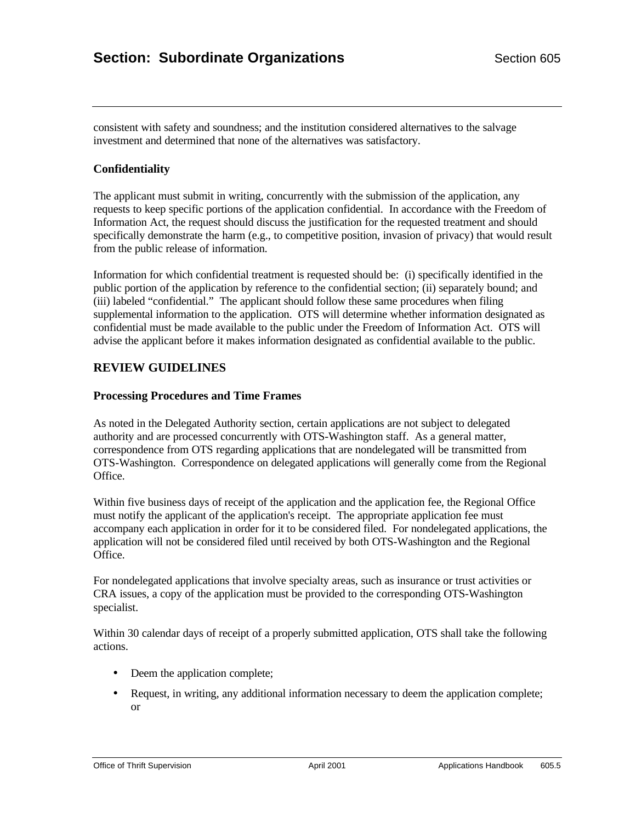consistent with safety and soundness; and the institution considered alternatives to the salvage investment and determined that none of the alternatives was satisfactory.

#### **Confidentiality**

The applicant must submit in writing, concurrently with the submission of the application, any requests to keep specific portions of the application confidential. In accordance with the Freedom of Information Act, the request should discuss the justification for the requested treatment and should specifically demonstrate the harm (e.g., to competitive position, invasion of privacy) that would result from the public release of information.

Information for which confidential treatment is requested should be: (i) specifically identified in the public portion of the application by reference to the confidential section; (ii) separately bound; and (iii) labeled "confidential." The applicant should follow these same procedures when filing supplemental information to the application. OTS will determine whether information designated as confidential must be made available to the public under the Freedom of Information Act. OTS will advise the applicant before it makes information designated as confidential available to the public.

## **REVIEW GUIDELINES**

#### **Processing Procedures and Time Frames**

As noted in the Delegated Authority section, certain applications are not subject to delegated authority and are processed concurrently with OTS-Washington staff. As a general matter, correspondence from OTS regarding applications that are nondelegated will be transmitted from OTS-Washington. Correspondence on delegated applications will generally come from the Regional Office.

Within five business days of receipt of the application and the application fee, the Regional Office must notify the applicant of the application's receipt. The appropriate application fee must accompany each application in order for it to be considered filed. For nondelegated applications, the application will not be considered filed until received by both OTS-Washington and the Regional Office.

For nondelegated applications that involve specialty areas, such as insurance or trust activities or CRA issues, a copy of the application must be provided to the corresponding OTS-Washington specialist.

Within 30 calendar days of receipt of a properly submitted application, OTS shall take the following actions.

- Deem the application complete;
- Request, in writing, any additional information necessary to deem the application complete; or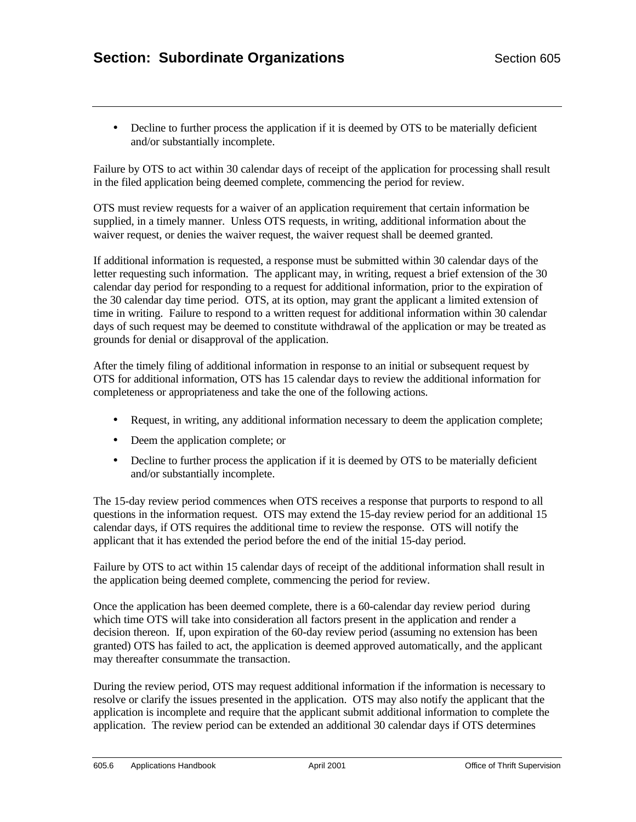• Decline to further process the application if it is deemed by OTS to be materially deficient and/or substantially incomplete.

Failure by OTS to act within 30 calendar days of receipt of the application for processing shall result in the filed application being deemed complete, commencing the period for review.

OTS must review requests for a waiver of an application requirement that certain information be supplied, in a timely manner. Unless OTS requests, in writing, additional information about the waiver request, or denies the waiver request, the waiver request shall be deemed granted.

If additional information is requested, a response must be submitted within 30 calendar days of the letter requesting such information. The applicant may, in writing, request a brief extension of the 30 calendar day period for responding to a request for additional information, prior to the expiration of the 30 calendar day time period. OTS, at its option, may grant the applicant a limited extension of time in writing. Failure to respond to a written request for additional information within 30 calendar days of such request may be deemed to constitute withdrawal of the application or may be treated as grounds for denial or disapproval of the application.

After the timely filing of additional information in response to an initial or subsequent request by OTS for additional information, OTS has 15 calendar days to review the additional information for completeness or appropriateness and take the one of the following actions.

- Request, in writing, any additional information necessary to deem the application complete;
- Deem the application complete; or
- Decline to further process the application if it is deemed by OTS to be materially deficient and/or substantially incomplete.

The 15-day review period commences when OTS receives a response that purports to respond to all questions in the information request. OTS may extend the 15-day review period for an additional 15 calendar days, if OTS requires the additional time to review the response. OTS will notify the applicant that it has extended the period before the end of the initial 15-day period.

Failure by OTS to act within 15 calendar days of receipt of the additional information shall result in the application being deemed complete, commencing the period for review.

Once the application has been deemed complete, there is a 60-calendar day review period during which time OTS will take into consideration all factors present in the application and render a decision thereon. If, upon expiration of the 60-day review period (assuming no extension has been granted) OTS has failed to act, the application is deemed approved automatically, and the applicant may thereafter consummate the transaction.

During the review period, OTS may request additional information if the information is necessary to resolve or clarify the issues presented in the application. OTS may also notify the applicant that the application is incomplete and require that the applicant submit additional information to complete the application. The review period can be extended an additional 30 calendar days if OTS determines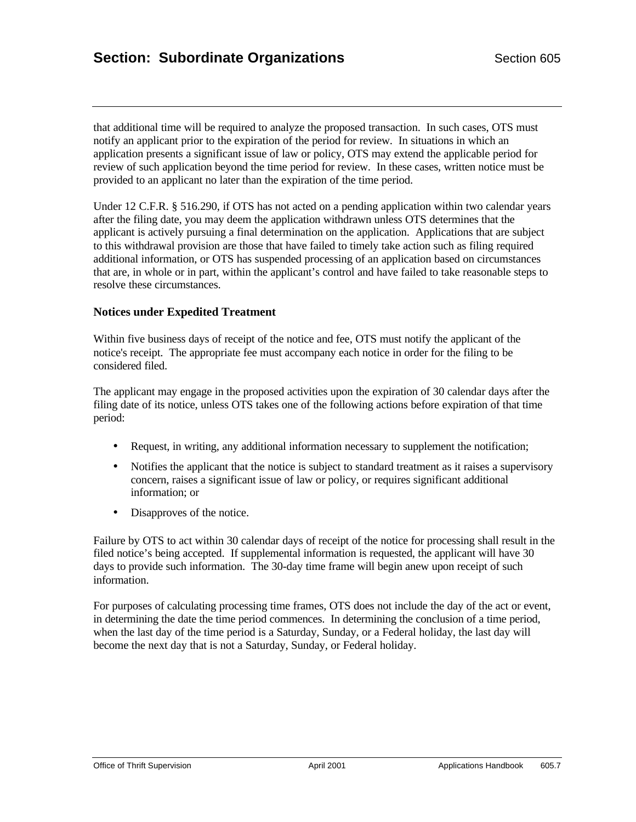that additional time will be required to analyze the proposed transaction. In such cases, OTS must notify an applicant prior to the expiration of the period for review. In situations in which an application presents a significant issue of law or policy, OTS may extend the applicable period for review of such application beyond the time period for review. In these cases, written notice must be provided to an applicant no later than the expiration of the time period.

Under 12 C.F.R. § 516.290, if OTS has not acted on a pending application within two calendar years after the filing date, you may deem the application withdrawn unless OTS determines that the applicant is actively pursuing a final determination on the application. Applications that are subject to this withdrawal provision are those that have failed to timely take action such as filing required additional information, or OTS has suspended processing of an application based on circumstances that are, in whole or in part, within the applicant's control and have failed to take reasonable steps to resolve these circumstances.

#### **Notices under Expedited Treatment**

Within five business days of receipt of the notice and fee, OTS must notify the applicant of the notice's receipt. The appropriate fee must accompany each notice in order for the filing to be considered filed.

The applicant may engage in the proposed activities upon the expiration of 30 calendar days after the filing date of its notice, unless OTS takes one of the following actions before expiration of that time period:

- Request, in writing, any additional information necessary to supplement the notification;
- Notifies the applicant that the notice is subject to standard treatment as it raises a supervisory concern, raises a significant issue of law or policy, or requires significant additional information; or
- Disapproves of the notice.

Failure by OTS to act within 30 calendar days of receipt of the notice for processing shall result in the filed notice's being accepted. If supplemental information is requested, the applicant will have 30 days to provide such information. The 30-day time frame will begin anew upon receipt of such information.

For purposes of calculating processing time frames, OTS does not include the day of the act or event, in determining the date the time period commences. In determining the conclusion of a time period, when the last day of the time period is a Saturday, Sunday, or a Federal holiday, the last day will become the next day that is not a Saturday, Sunday, or Federal holiday.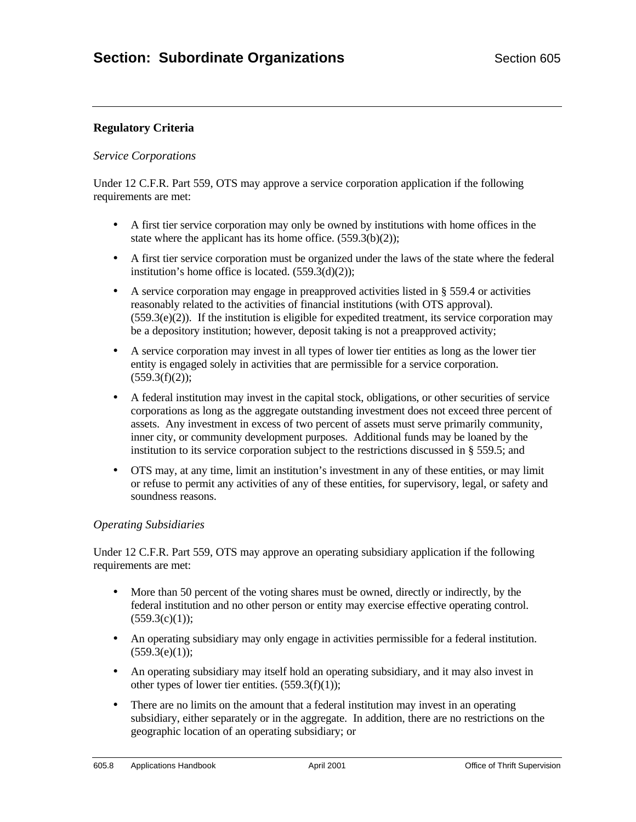# **Regulatory Criteria**

#### *Service Corporations*

Under 12 C.F.R. Part 559, OTS may approve a service corporation application if the following requirements are met:

- A first tier service corporation may only be owned by institutions with home offices in the state where the applicant has its home office.  $(559.3(b)(2))$ ;
- A first tier service corporation must be organized under the laws of the state where the federal institution's home office is located.  $(559.3(d)(2));$
- A service corporation may engage in preapproved activities listed in § 559.4 or activities reasonably related to the activities of financial institutions (with OTS approval).  $(559.3(e)(2))$ . If the institution is eligible for expedited treatment, its service corporation may be a depository institution; however, deposit taking is not a preapproved activity;
- A service corporation may invest in all types of lower tier entities as long as the lower tier entity is engaged solely in activities that are permissible for a service corporation.  $(559.3(f)(2))$ ;
- A federal institution may invest in the capital stock, obligations, or other securities of service corporations as long as the aggregate outstanding investment does not exceed three percent of assets. Any investment in excess of two percent of assets must serve primarily community, inner city, or community development purposes. Additional funds may be loaned by the institution to its service corporation subject to the restrictions discussed in § 559.5; and
- OTS may, at any time, limit an institution's investment in any of these entities, or may limit or refuse to permit any activities of any of these entities, for supervisory, legal, or safety and soundness reasons.

## *Operating Subsidiaries*

Under 12 C.F.R. Part 559, OTS may approve an operating subsidiary application if the following requirements are met:

- More than 50 percent of the voting shares must be owned, directly or indirectly, by the federal institution and no other person or entity may exercise effective operating control.  $(559.3(c)(1))$ ;
- An operating subsidiary may only engage in activities permissible for a federal institution.  $(559.3(e)(1))$ ;
- An operating subsidiary may itself hold an operating subsidiary, and it may also invest in other types of lower tier entities.  $(559.3(f)(1));$
- There are no limits on the amount that a federal institution may invest in an operating subsidiary, either separately or in the aggregate. In addition, there are no restrictions on the geographic location of an operating subsidiary; or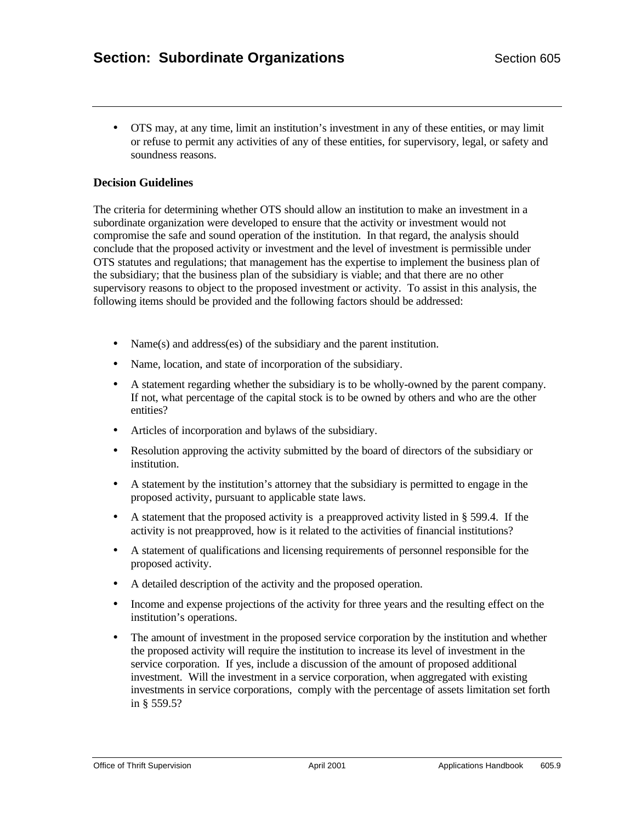• OTS may, at any time, limit an institution's investment in any of these entities, or may limit or refuse to permit any activities of any of these entities, for supervisory, legal, or safety and soundness reasons.

## **Decision Guidelines**

The criteria for determining whether OTS should allow an institution to make an investment in a subordinate organization were developed to ensure that the activity or investment would not compromise the safe and sound operation of the institution. In that regard, the analysis should conclude that the proposed activity or investment and the level of investment is permissible under OTS statutes and regulations; that management has the expertise to implement the business plan of the subsidiary; that the business plan of the subsidiary is viable; and that there are no other supervisory reasons to object to the proposed investment or activity. To assist in this analysis, the following items should be provided and the following factors should be addressed:

- Name(s) and address(es) of the subsidiary and the parent institution.
- Name, location, and state of incorporation of the subsidiary.
- A statement regarding whether the subsidiary is to be wholly-owned by the parent company. If not, what percentage of the capital stock is to be owned by others and who are the other entities?
- Articles of incorporation and bylaws of the subsidiary.
- Resolution approving the activity submitted by the board of directors of the subsidiary or institution.
- A statement by the institution's attorney that the subsidiary is permitted to engage in the proposed activity, pursuant to applicable state laws.
- A statement that the proposed activity is a preapproved activity listed in  $\S$  599.4. If the activity is not preapproved, how is it related to the activities of financial institutions?
- A statement of qualifications and licensing requirements of personnel responsible for the proposed activity.
- A detailed description of the activity and the proposed operation.
- Income and expense projections of the activity for three years and the resulting effect on the institution's operations.
- The amount of investment in the proposed service corporation by the institution and whether the proposed activity will require the institution to increase its level of investment in the service corporation. If yes, include a discussion of the amount of proposed additional investment. Will the investment in a service corporation, when aggregated with existing investments in service corporations, comply with the percentage of assets limitation set forth in § 559.5?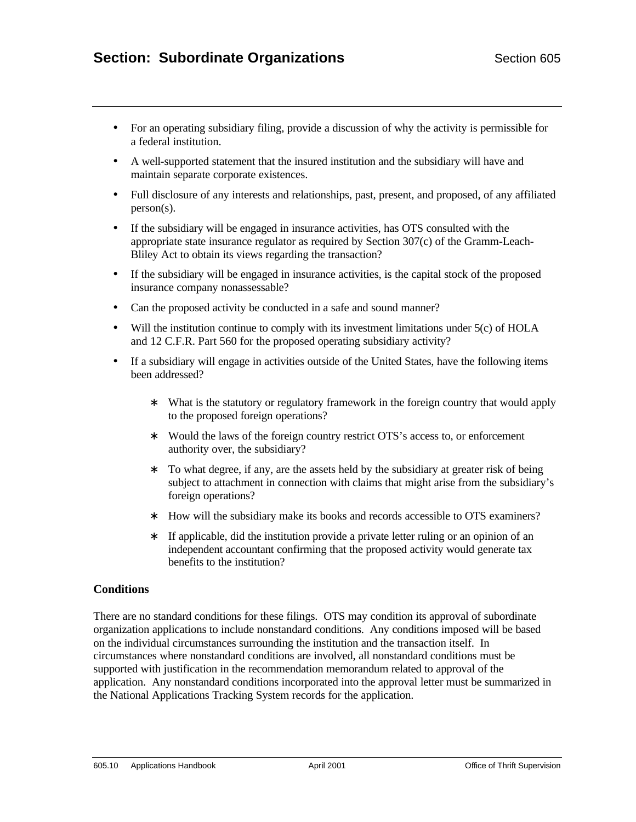- For an operating subsidiary filing, provide a discussion of why the activity is permissible for a federal institution.
- A well-supported statement that the insured institution and the subsidiary will have and maintain separate corporate existences.
- Full disclosure of any interests and relationships, past, present, and proposed, of any affiliated person(s).
- If the subsidiary will be engaged in insurance activities, has OTS consulted with the appropriate state insurance regulator as required by Section 307(c) of the Gramm-Leach-Bliley Act to obtain its views regarding the transaction?
- If the subsidiary will be engaged in insurance activities, is the capital stock of the proposed insurance company nonassessable?
- Can the proposed activity be conducted in a safe and sound manner?
- Will the institution continue to comply with its investment limitations under  $5(c)$  of HOLA and 12 C.F.R. Part 560 for the proposed operating subsidiary activity?
- If a subsidiary will engage in activities outside of the United States, have the following items been addressed?
	- ∗ What is the statutory or regulatory framework in the foreign country that would apply to the proposed foreign operations?
	- ∗ Would the laws of the foreign country restrict OTS's access to, or enforcement authority over, the subsidiary?
	- ∗ To what degree, if any, are the assets held by the subsidiary at greater risk of being subject to attachment in connection with claims that might arise from the subsidiary's foreign operations?
	- ∗ How will the subsidiary make its books and records accessible to OTS examiners?
	- ∗ If applicable, did the institution provide a private letter ruling or an opinion of an independent accountant confirming that the proposed activity would generate tax benefits to the institution?

## **Conditions**

There are no standard conditions for these filings. OTS may condition its approval of subordinate organization applications to include nonstandard conditions. Any conditions imposed will be based on the individual circumstances surrounding the institution and the transaction itself. In circumstances where nonstandard conditions are involved, all nonstandard conditions must be supported with justification in the recommendation memorandum related to approval of the application. Any nonstandard conditions incorporated into the approval letter must be summarized in the National Applications Tracking System records for the application.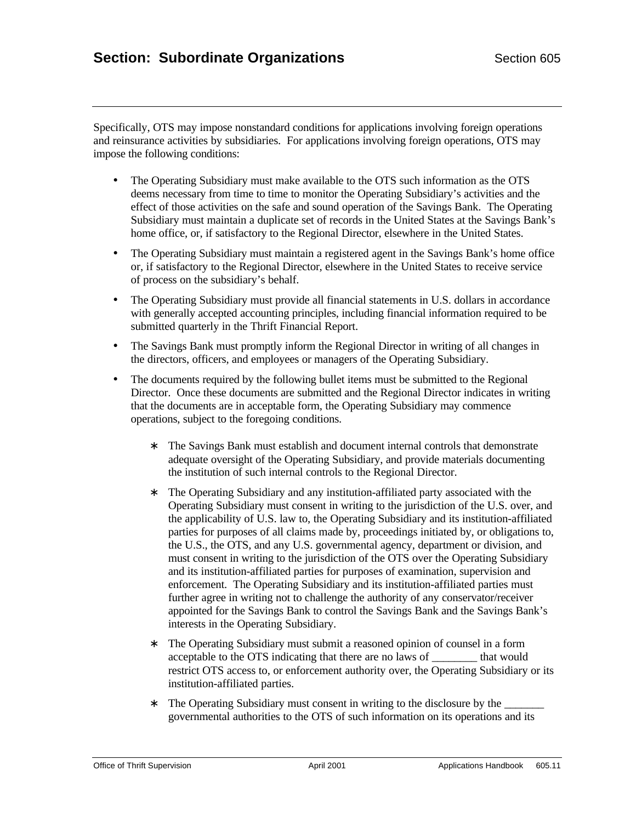Specifically, OTS may impose nonstandard conditions for applications involving foreign operations and reinsurance activities by subsidiaries. For applications involving foreign operations, OTS may impose the following conditions:

- The Operating Subsidiary must make available to the OTS such information as the OTS deems necessary from time to time to monitor the Operating Subsidiary's activities and the effect of those activities on the safe and sound operation of the Savings Bank. The Operating Subsidiary must maintain a duplicate set of records in the United States at the Savings Bank's home office, or, if satisfactory to the Regional Director, elsewhere in the United States.
- The Operating Subsidiary must maintain a registered agent in the Savings Bank's home office or, if satisfactory to the Regional Director, elsewhere in the United States to receive service of process on the subsidiary's behalf.
- The Operating Subsidiary must provide all financial statements in U.S. dollars in accordance with generally accepted accounting principles, including financial information required to be submitted quarterly in the Thrift Financial Report.
- The Savings Bank must promptly inform the Regional Director in writing of all changes in the directors, officers, and employees or managers of the Operating Subsidiary.
- The documents required by the following bullet items must be submitted to the Regional Director. Once these documents are submitted and the Regional Director indicates in writing that the documents are in acceptable form, the Operating Subsidiary may commence operations, subject to the foregoing conditions.
	- ∗ The Savings Bank must establish and document internal controls that demonstrate adequate oversight of the Operating Subsidiary, and provide materials documenting the institution of such internal controls to the Regional Director.
	- ∗ The Operating Subsidiary and any institution-affiliated party associated with the Operating Subsidiary must consent in writing to the jurisdiction of the U.S. over, and the applicability of U.S. law to, the Operating Subsidiary and its institution-affiliated parties for purposes of all claims made by, proceedings initiated by, or obligations to, the U.S., the OTS, and any U.S. governmental agency, department or division, and must consent in writing to the jurisdiction of the OTS over the Operating Subsidiary and its institution-affiliated parties for purposes of examination, supervision and enforcement. The Operating Subsidiary and its institution-affiliated parties must further agree in writing not to challenge the authority of any conservator/receiver appointed for the Savings Bank to control the Savings Bank and the Savings Bank's interests in the Operating Subsidiary.
	- ∗ The Operating Subsidiary must submit a reasoned opinion of counsel in a form acceptable to the OTS indicating that there are no laws of that would restrict OTS access to, or enforcement authority over, the Operating Subsidiary or its institution-affiliated parties.
	- ∗ The Operating Subsidiary must consent in writing to the disclosure by the \_\_\_\_\_\_\_ governmental authorities to the OTS of such information on its operations and its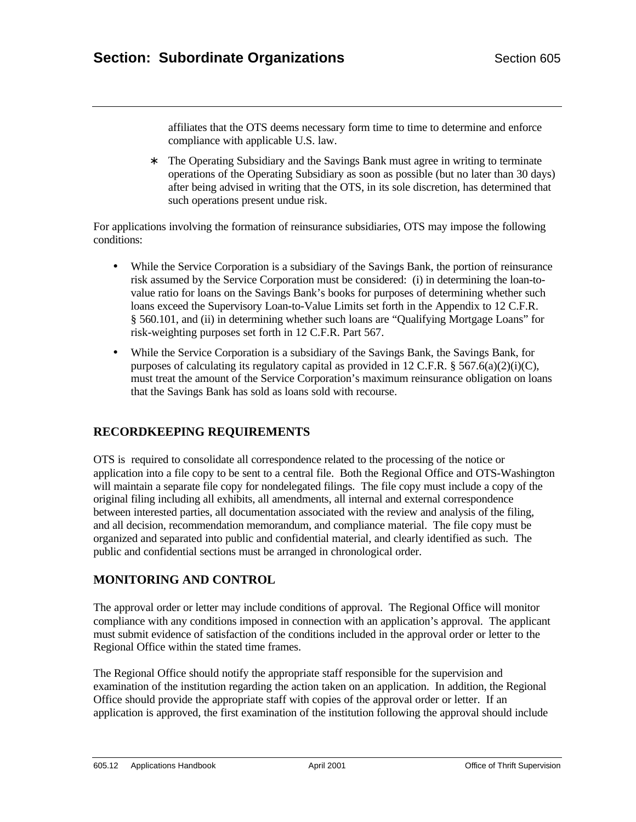affiliates that the OTS deems necessary form time to time to determine and enforce compliance with applicable U.S. law.

∗ The Operating Subsidiary and the Savings Bank must agree in writing to terminate operations of the Operating Subsidiary as soon as possible (but no later than 30 days) after being advised in writing that the OTS, in its sole discretion, has determined that such operations present undue risk.

For applications involving the formation of reinsurance subsidiaries, OTS may impose the following conditions:

- While the Service Corporation is a subsidiary of the Savings Bank, the portion of reinsurance risk assumed by the Service Corporation must be considered: (i) in determining the loan-tovalue ratio for loans on the Savings Bank's books for purposes of determining whether such loans exceed the Supervisory Loan-to-Value Limits set forth in the Appendix to 12 C.F.R. § 560.101, and (ii) in determining whether such loans are "Qualifying Mortgage Loans" for risk-weighting purposes set forth in 12 C.F.R. Part 567.
- While the Service Corporation is a subsidiary of the Savings Bank, the Savings Bank, for purposes of calculating its regulatory capital as provided in 12 C.F.R. § 567.6(a)(2)(i)(C), must treat the amount of the Service Corporation's maximum reinsurance obligation on loans that the Savings Bank has sold as loans sold with recourse.

# **RECORDKEEPING REQUIREMENTS**

OTS is required to consolidate all correspondence related to the processing of the notice or application into a file copy to be sent to a central file. Both the Regional Office and OTS-Washington will maintain a separate file copy for nondelegated filings. The file copy must include a copy of the original filing including all exhibits, all amendments, all internal and external correspondence between interested parties, all documentation associated with the review and analysis of the filing, and all decision, recommendation memorandum, and compliance material. The file copy must be organized and separated into public and confidential material, and clearly identified as such. The public and confidential sections must be arranged in chronological order.

# **MONITORING AND CONTROL**

The approval order or letter may include conditions of approval. The Regional Office will monitor compliance with any conditions imposed in connection with an application's approval. The applicant must submit evidence of satisfaction of the conditions included in the approval order or letter to the Regional Office within the stated time frames.

The Regional Office should notify the appropriate staff responsible for the supervision and examination of the institution regarding the action taken on an application. In addition, the Regional Office should provide the appropriate staff with copies of the approval order or letter. If an application is approved, the first examination of the institution following the approval should include